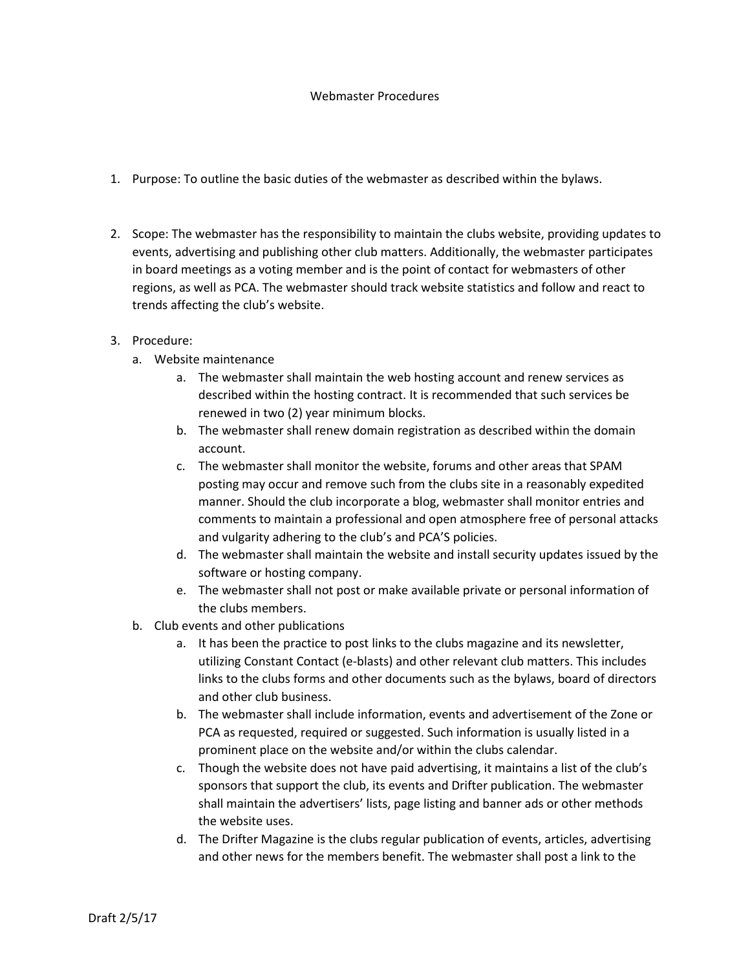## Webmaster Procedures

- 1. Purpose: To outline the basic duties of the webmaster as described within the bylaws.
- 2. Scope: The webmaster has the responsibility to maintain the clubs website, providing updates to events, advertising and publishing other club matters. Additionally, the webmaster participates in board meetings as a voting member and is the point of contact for webmasters of other regions, as well as PCA. The webmaster should track website statistics and follow and react to trends affecting the club's website.

## 3. Procedure:

- a. Website maintenance
	- a. The webmaster shall maintain the web hosting account and renew services as described within the hosting contract. It is recommended that such services be renewed in two (2) year minimum blocks.
	- b. The webmaster shall renew domain registration as described within the domain account.
	- c. The webmaster shall monitor the website, forums and other areas that SPAM posting may occur and remove such from the clubs site in a reasonably expedited manner. Should the club incorporate a blog, webmaster shall monitor entries and comments to maintain a professional and open atmosphere free of personal attacks and vulgarity adhering to the club's and PCA'S policies.
	- d. The webmaster shall maintain the website and install security updates issued by the software or hosting company.
	- e. The webmaster shall not post or make available private or personal information of the clubs members.
- b. Club events and other publications
	- a. It has been the practice to post links to the clubs magazine and its newsletter, utilizing Constant Contact (e-blasts) and other relevant club matters. This includes links to the clubs forms and other documents such as the bylaws, board of directors and other club business.
	- b. The webmaster shall include information, events and advertisement of the Zone or PCA as requested, required or suggested. Such information is usually listed in a prominent place on the website and/or within the clubs calendar.
	- c. Though the website does not have paid advertising, it maintains a list of the club's sponsors that support the club, its events and Drifter publication. The webmaster shall maintain the advertisers' lists, page listing and banner ads or other methods the website uses.
	- d. The Drifter Magazine is the clubs regular publication of events, articles, advertising and other news for the members benefit. The webmaster shall post a link to the